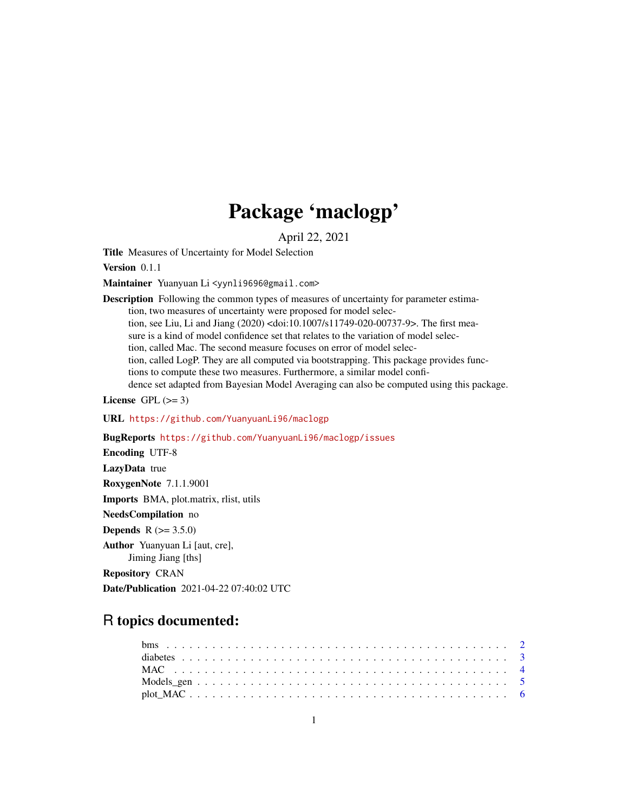# Package 'maclogp'

April 22, 2021

<span id="page-0-0"></span>Title Measures of Uncertainty for Model Selection

Version 0.1.1

Maintainer Yuanyuan Li <yynli9696@gmail.com>

Description Following the common types of measures of uncertainty for parameter estimation, two measures of uncertainty were proposed for model selection, see Liu, Li and Jiang (2020) <doi:10.1007/s11749-020-00737-9>. The first measure is a kind of model confidence set that relates to the variation of model selection, called Mac. The second measure focuses on error of model selection, called LogP. They are all computed via bootstrapping. This package provides functions to compute these two measures. Furthermore, a similar model confidence set adapted from Bayesian Model Averaging can also be computed using this package.

License GPL  $(>= 3)$ 

URL <https://github.com/YuanyuanLi96/maclogp>

BugReports <https://github.com/YuanyuanLi96/maclogp/issues>

Encoding UTF-8

LazyData true

RoxygenNote 7.1.1.9001

Imports BMA, plot.matrix, rlist, utils

NeedsCompilation no

**Depends** R  $(>= 3.5.0)$ 

Author Yuanyuan Li [aut, cre], Jiming Jiang [ths]

Repository CRAN

Date/Publication 2021-04-22 07:40:02 UTC

# R topics documented: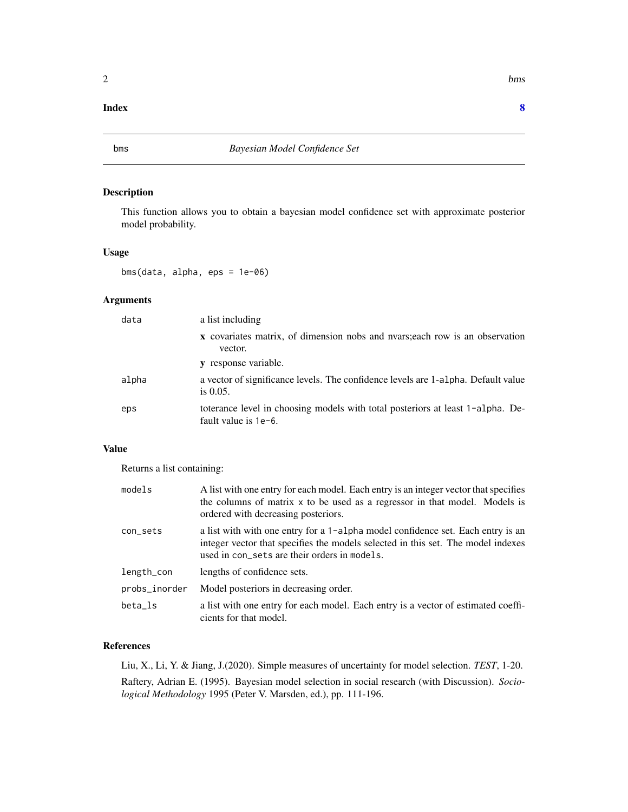#### <span id="page-1-0"></span>**Index** [8](#page-7-0) **8**

#### Description

This function allows you to obtain a bayesian model confidence set with approximate posterior model probability.

# Usage

bms(data, alpha, eps = 1e-06)

# Arguments

| data  | a list including                                                                                          |
|-------|-----------------------------------------------------------------------------------------------------------|
|       | <b>x</b> covariates matrix, of dimension nobs and nyars; each row is an observation<br>vector.            |
|       | y response variable.                                                                                      |
| alpha | a vector of significance levels. The confidence levels are 1-alpha. Default value<br>is $0.05$ .          |
| eps   | toterance level in choosing models with total posteriors at least 1-alpha. De-<br>fault value is $1e-6$ . |

#### Value

Returns a list containing:

| models        | A list with one entry for each model. Each entry is an integer vector that specifies<br>the columns of matrix x to be used as a regressor in that model. Models is<br>ordered with decreasing posteriors.           |
|---------------|---------------------------------------------------------------------------------------------------------------------------------------------------------------------------------------------------------------------|
| con_sets      | a list with with one entry for a 1-alpha model confidence set. Each entry is an<br>integer vector that specifies the models selected in this set. The model indexes<br>used in con_sets are their orders in models. |
| length_con    | lengths of confidence sets.                                                                                                                                                                                         |
| probs_inorder | Model posteriors in decreasing order.                                                                                                                                                                               |
| beta_ls       | a list with one entry for each model. Each entry is a vector of estimated coeffi-<br>cients for that model.                                                                                                         |

#### References

Liu, X., Li, Y. & Jiang, J.(2020). Simple measures of uncertainty for model selection. *TEST*, 1-20.

Raftery, Adrian E. (1995). Bayesian model selection in social research (with Discussion). *Sociological Methodology* 1995 (Peter V. Marsden, ed.), pp. 111-196.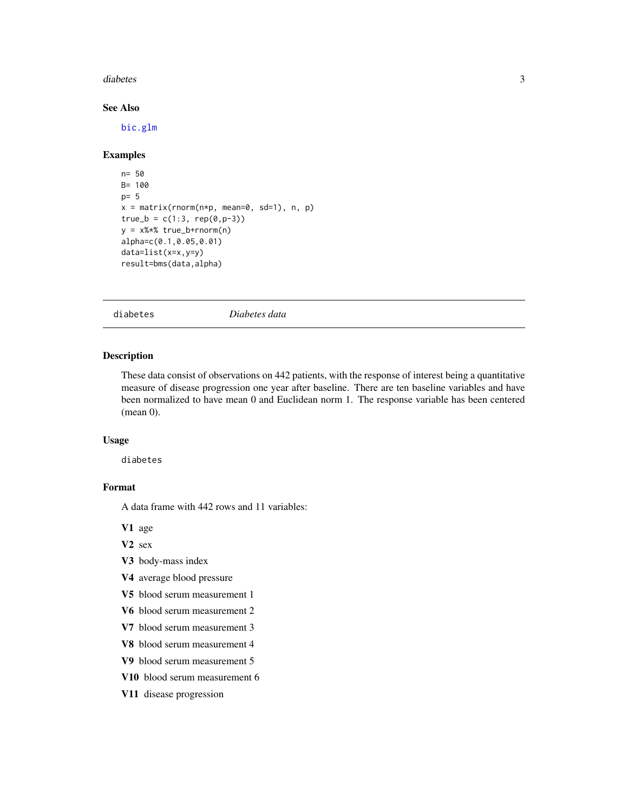#### <span id="page-2-0"></span>diabetes 3

# See Also

[bic.glm](#page-0-0)

# Examples

```
n= 50
B= 100
p= 5
x = matrix(rnorm(n*p, mean=0, sd=1), n, p)true_b = c(1:3, rep(0,p-3))y = x%*% true_b+rnorm(n)
alpha=c(0.1,0.05,0.01)
data=list(x=x,y=y)
result=bms(data,alpha)
```
diabetes *Diabetes data*

#### Description

These data consist of observations on 442 patients, with the response of interest being a quantitative measure of disease progression one year after baseline. There are ten baseline variables and have been normalized to have mean 0 and Euclidean norm 1. The response variable has been centered (mean 0).

#### Usage

diabetes

#### Format

A data frame with 442 rows and 11 variables:

V1 age

V2 sex

- V3 body-mass index
- V4 average blood pressure
- V5 blood serum measurement 1
- V6 blood serum measurement 2
- V7 blood serum measurement 3
- V8 blood serum measurement 4
- V9 blood serum measurement 5
- V10 blood serum measurement 6
- V11 disease progression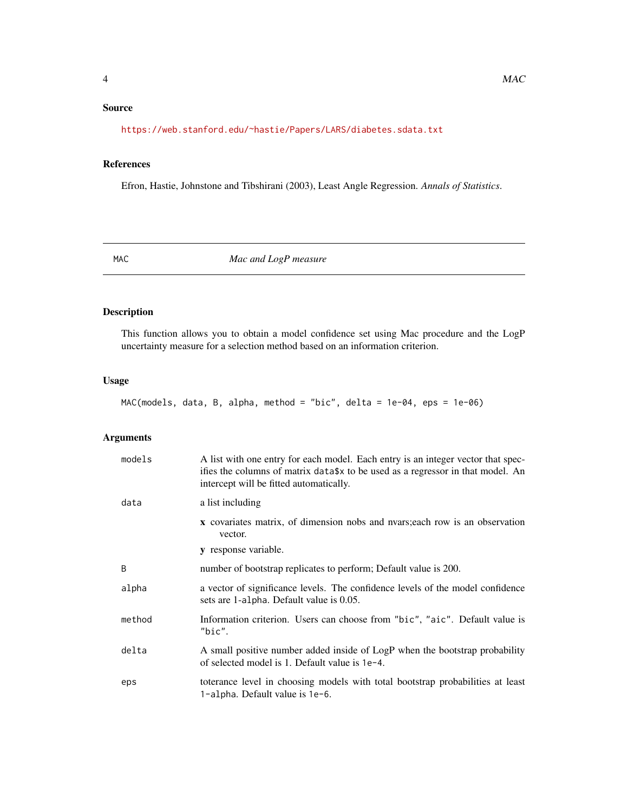# <span id="page-3-0"></span>Source

<https://web.stanford.edu/~hastie/Papers/LARS/diabetes.sdata.txt>

# References

Efron, Hastie, Johnstone and Tibshirani (2003), Least Angle Regression. *Annals of Statistics*.

<span id="page-3-1"></span>MAC *Mac and LogP measure*

# Description

This function allows you to obtain a model confidence set using Mac procedure and the LogP uncertainty measure for a selection method based on an information criterion.

#### Usage

MAC(models, data, B, alpha, method = "bic", delta = 1e-04, eps = 1e-06)

# Arguments

| models | A list with one entry for each model. Each entry is an integer vector that spec-<br>ifies the columns of matrix data\$x to be used as a regressor in that model. An<br>intercept will be fitted automatically. |
|--------|----------------------------------------------------------------------------------------------------------------------------------------------------------------------------------------------------------------|
| data   | a list including                                                                                                                                                                                               |
|        | <b>x</b> covariates matrix, of dimension nobs and nyars; each row is an observation<br>vector.                                                                                                                 |
|        | y response variable.                                                                                                                                                                                           |
| B      | number of bootstrap replicates to perform; Default value is 200.                                                                                                                                               |
| alpha  | a vector of significance levels. The confidence levels of the model confidence<br>sets are 1-alpha. Default value is 0.05.                                                                                     |
| method | Information criterion. Users can choose from "bic", "aic". Default value is<br>"bic".                                                                                                                          |
| delta  | A small positive number added inside of LogP when the bootstrap probability<br>of selected model is 1. Default value is 1e-4.                                                                                  |
| eps    | toterance level in choosing models with total bootstrap probabilities at least<br>1-alpha. Default value is 1e-6.                                                                                              |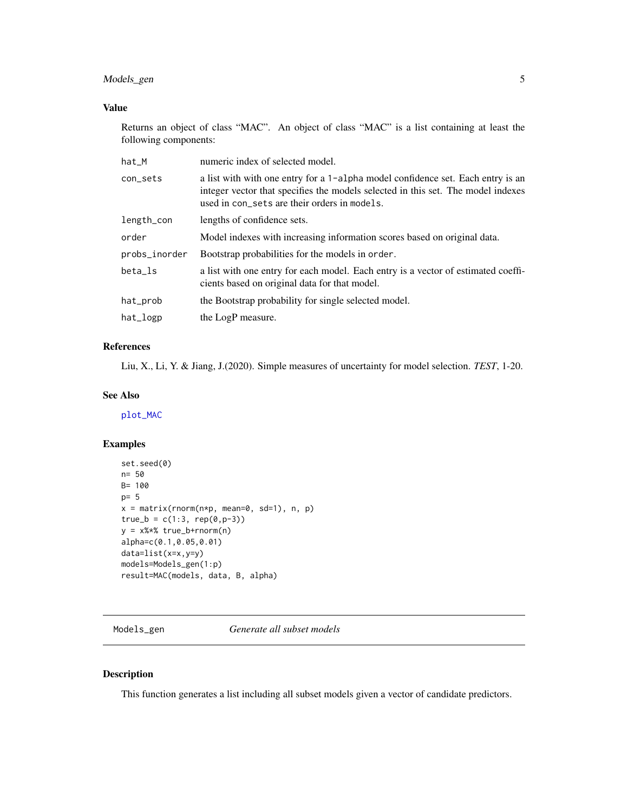# <span id="page-4-0"></span>Models\_gen 5

# Value

Returns an object of class "MAC". An object of class "MAC" is a list containing at least the following components:

| hat_M         | numeric index of selected model.                                                                                                                                                                                    |
|---------------|---------------------------------------------------------------------------------------------------------------------------------------------------------------------------------------------------------------------|
| con_sets      | a list with with one entry for a 1-alpha model confidence set. Each entry is an<br>integer vector that specifies the models selected in this set. The model indexes<br>used in con_sets are their orders in models. |
| length_con    | lengths of confidence sets.                                                                                                                                                                                         |
| order         | Model indexes with increasing information scores based on original data.                                                                                                                                            |
| probs_inorder | Bootstrap probabilities for the models in order.                                                                                                                                                                    |
| beta 1s       | a list with one entry for each model. Each entry is a vector of estimated coeffi-<br>cients based on original data for that model.                                                                                  |
| hat_prob      | the Bootstrap probability for single selected model.                                                                                                                                                                |
| $hat\_logp$   | the LogP measure.                                                                                                                                                                                                   |

#### References

Liu, X., Li, Y. & Jiang, J.(2020). Simple measures of uncertainty for model selection. *TEST*, 1-20.

#### See Also

[plot\\_MAC](#page-5-1)

#### Examples

```
set.seed(0)
n= 50
B= 100
p= 5
x = matrix(rnorm(n*p, mean=0, sd=1), n, p)true_b = c(1:3, rep(0,p-3))y = x%*% true_b+rnorm(n)
alpha=c(0.1,0.05,0.01)
data=list(x=x,y=y)
models=Models_gen(1:p)
result=MAC(models, data, B, alpha)
```
Models\_gen *Generate all subset models*

#### Description

This function generates a list including all subset models given a vector of candidate predictors.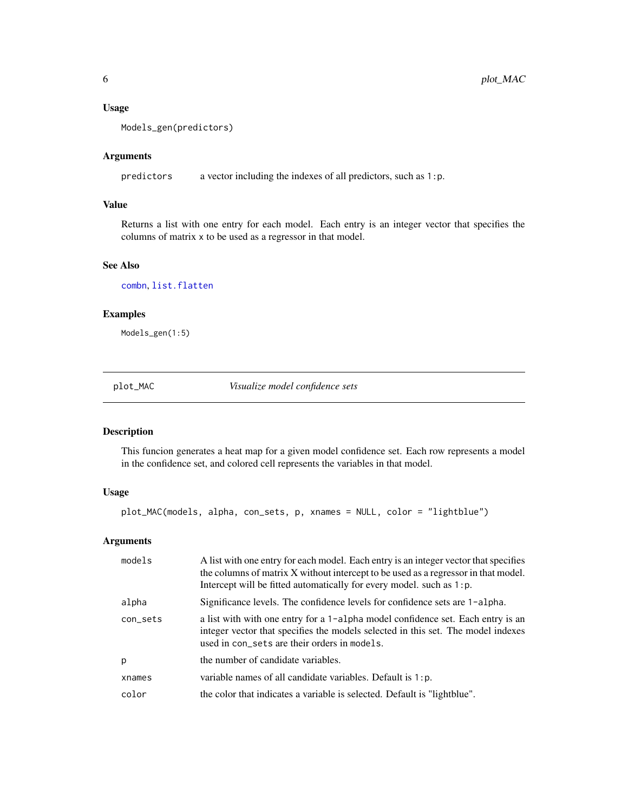#### Usage

Models\_gen(predictors)

#### Arguments

predictors a vector including the indexes of all predictors, such as 1:p.

# Value

Returns a list with one entry for each model. Each entry is an integer vector that specifies the columns of matrix x to be used as a regressor in that model.

# See Also

[combn](#page-0-0), [list.flatten](#page-0-0)

#### Examples

Models\_gen(1:5)

<span id="page-5-1"></span>plot\_MAC *Visualize model confidence sets*

# Description

This funcion generates a heat map for a given model confidence set. Each row represents a model in the confidence set, and colored cell represents the variables in that model.

#### Usage

plot\_MAC(models, alpha, con\_sets, p, xnames = NULL, color = "lightblue")

# Arguments

| models   | A list with one entry for each model. Each entry is an integer vector that specifies<br>the columns of matrix X without intercept to be used as a regressor in that model.<br>Intercept will be fitted automatically for every model, such as 1: p. |
|----------|-----------------------------------------------------------------------------------------------------------------------------------------------------------------------------------------------------------------------------------------------------|
| alpha    | Significance levels. The confidence levels for confidence sets are 1-alpha.                                                                                                                                                                         |
| con_sets | a list with with one entry for a 1-alpha model confidence set. Each entry is an<br>integer vector that specifies the models selected in this set. The model indexes<br>used in con_sets are their orders in models.                                 |
| p        | the number of candidate variables.                                                                                                                                                                                                                  |
| xnames   | variable names of all candidate variables. Default is $1:p$ .                                                                                                                                                                                       |
| color    | the color that indicates a variable is selected. Default is "lightblue".                                                                                                                                                                            |
|          |                                                                                                                                                                                                                                                     |

<span id="page-5-0"></span>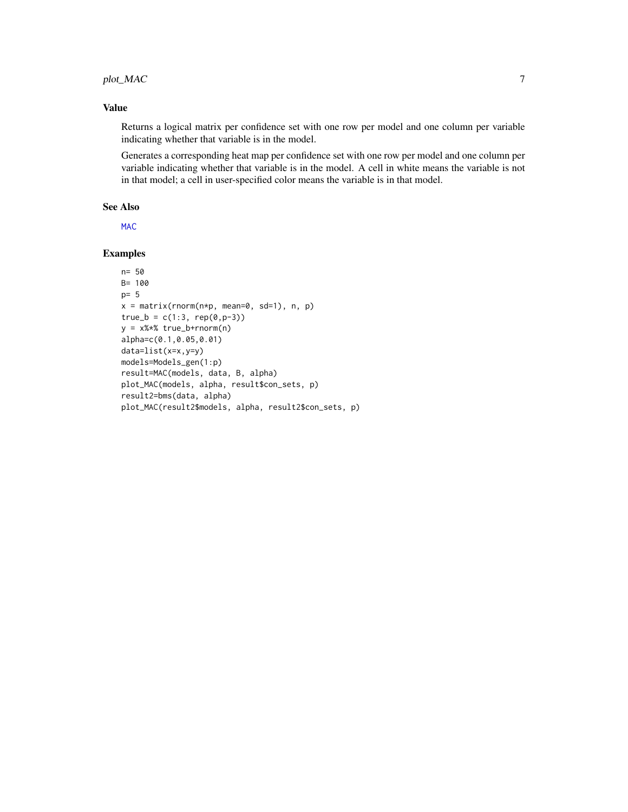# <span id="page-6-0"></span>plot\_MAC 7

#### Value

Returns a logical matrix per confidence set with one row per model and one column per variable indicating whether that variable is in the model.

Generates a corresponding heat map per confidence set with one row per model and one column per variable indicating whether that variable is in the model. A cell in white means the variable is not in that model; a cell in user-specified color means the variable is in that model.

#### See Also

[MAC](#page-3-1)

# Examples

```
n= 50
B= 100
p= 5
x = matrix(rnorm(n*p, mean=0, sd=1), n, p)true_b = c(1:3, rep(0,p-3))y = x%*% true_b+rnorm(n)
alpha=c(0.1,0.05,0.01)
data=list(x=x,y=y)
models=Models_gen(1:p)
result=MAC(models, data, B, alpha)
plot_MAC(models, alpha, result$con_sets, p)
result2=bms(data, alpha)
plot_MAC(result2$models, alpha, result2$con_sets, p)
```